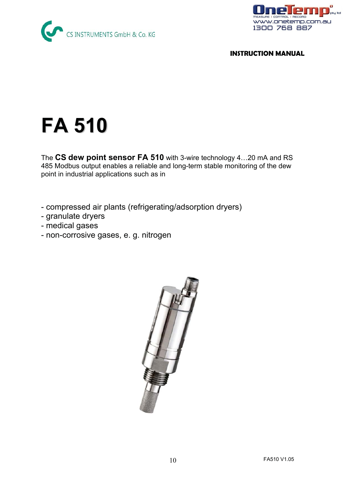



#### **INSTRUCTION MANUAL**

# **FA 510**

The **CS dew point sensor FA 510** with 3-wire technology 4…20 mA and RS 485 Modbus output enables a reliable and long-term stable monitoring of the dew point in industrial applications such as in

- compressed air plants (refrigerating/adsorption dryers)
- granulate dryers
- medical gases
- non-corrosive gases, e. g. nitrogen

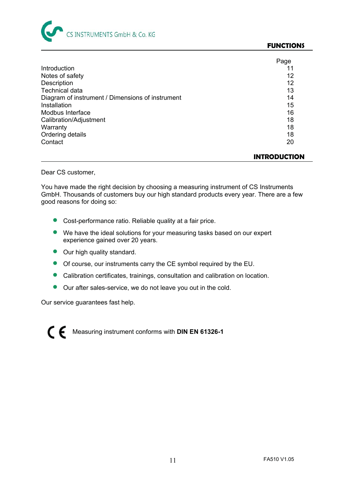

#### **FUNCTIONS**

|                                                  | Page |
|--------------------------------------------------|------|
| Introduction                                     |      |
| Notes of safety                                  | 12   |
| Description                                      | 12   |
| <b>Technical data</b>                            | 13   |
| Diagram of instrument / Dimensions of instrument | 14   |
| Installation                                     | 15   |
| Modbus Interface                                 | 16   |
| Calibration/Adjustment                           | 18   |
| Warranty                                         | 18   |
| Ordering details                                 | 18   |
| Contact                                          | 20   |

#### **INTRODUCTION**

Dear CS customer,

You have made the right decision by choosing a measuring instrument of CS Instruments GmbH. Thousands of customers buy our high standard products every year. There are a few good reasons for doing so:

- **•** Cost-performance ratio. Reliable quality at a fair price.
- We have the ideal solutions for your measuring tasks based on our expert experience gained over 20 years.
- Our high quality standard.
- Of course, our instruments carry the CE symbol required by the EU.
- Calibration certificates, trainings, consultation and calibration on location.
- **Our after sales-service, we do not leave you out in the cold.**

Our service guarantees fast help.

Measuring instrument conforms with **DIN EN 61326-1**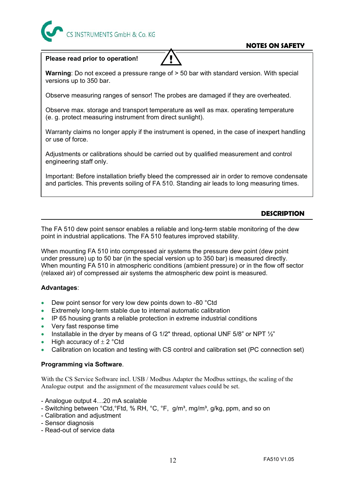

#### **NOTES ON SAFETY**

#### **Please read prior to operation!**

**!** 

**Warning**: Do not exceed a pressure range of > 50 bar with standard version. With special versions up to 350 bar.

Observe measuring ranges of sensor! The probes are damaged if they are overheated.

Observe max. storage and transport temperature as well as max. operating temperature (e. g. protect measuring instrument from direct sunlight).

Warranty claims no longer apply if the instrument is opened, in the case of inexpert handling or use of force.

Adjustments or calibrations should be carried out by qualified measurement and control engineering staff only.

Important: Before installation briefly bleed the compressed air in order to remove condensate and particles. This prevents soiling of FA 510. Standing air leads to long measuring times.

#### **DESCRIPTION**

The FA 510 dew point sensor enables a reliable and long-term stable monitoring of the dew point in industrial applications. The FA 510 features improved stability.

When mounting FA 510 into compressed air systems the pressure dew point (dew point under pressure) up to 50 bar (in the special version up to 350 bar) is measured directly. When mounting FA 510 in atmospheric conditions (ambient pressure) or in the flow off sector (relaxed air) of compressed air systems the atmospheric dew point is measured.

#### **Advantages**:

- Dew point sensor for very low dew points down to -80 °Ctd
- Extremely long-term stable due to internal automatic calibration
- IP 65 housing grants a reliable protection in extreme industrial conditions
- Very fast response time
- Installable in the dryer by means of G 1/2" thread, optional UNF  $5/8$ " or NPT  $\frac{1}{2}$ "
- High accuracy of  $\pm$  2 °Ctd
- Calibration on location and testing with CS control and calibration set (PC connection set)

#### **Programming via Software**.

With the CS Service Software incl. USB / Modbus Adapter the Modbus settings, the scaling of the Analogue output and the assignment of the measurement values could be set.

- Analogue output 4…20 mA scalable

- Switching between °Ctd, °Ftd, % RH, °C, °F, g/m<sup>3</sup>, mg/m<sup>3</sup>, g/kg, ppm, and so on
- Calibration and adjustment
- Sensor diagnosis
- Read-out of service data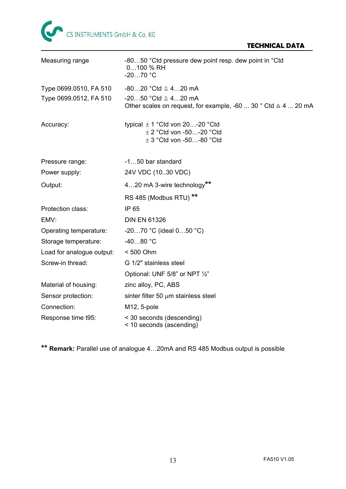

#### **TECHNICAL DATA**

| Measuring range           | -8050 °Ctd pressure dew point resp. dew point in °Ctd<br>0100 % RH<br>$-2070$ °C                                 |  |
|---------------------------|------------------------------------------------------------------------------------------------------------------|--|
| Type 0699.0510, FA 510    | $-8020$ °Ctd $\triangleq 420$ mA                                                                                 |  |
| Type 0699.0512, FA 510    | $-2050$ °Ctd $\triangle 420$ mA<br>Other scales on request, for example, -60  30 $^{\circ}$ Ctd $\cong$ 4  20 mA |  |
| Accuracy:                 | typical $\pm$ 1 °Ctd von 20-20 °Ctd<br>$\pm$ 2 °Ctd von -50-20 °Ctd<br>$\pm$ 3 °Ctd von -50-80 °Ctd              |  |
| Pressure range:           | -150 bar standard                                                                                                |  |
| Power supply:             | 24V VDC (1030 VDC)                                                                                               |  |
| Output:                   | 420 mA 3-wire technology**                                                                                       |  |
|                           | RS 485 (Modbus RTU) <sup>**</sup>                                                                                |  |
| Protection class:         | IP 65                                                                                                            |  |
| EMV:                      | <b>DIN EN 61326</b>                                                                                              |  |
| Operating temperature:    | $-2070$ °C (ideal $050$ °C)                                                                                      |  |
| Storage temperature:      | $-4080 °C$                                                                                                       |  |
| Load for analogue output: | < 500 Ohm                                                                                                        |  |
| Screw-in thread:          | G 1/2" stainless steel                                                                                           |  |
|                           | Optional: UNF 5/8" or NPT 1/2"                                                                                   |  |
| Material of housing:      | zinc alloy, PC, ABS                                                                                              |  |
| Sensor protection:        | sinter filter 50 $\mu$ m stainless steel                                                                         |  |
| Connection:               | M12, 5-pole                                                                                                      |  |
| Response time t95:        | < 30 seconds (descending)<br>< 10 seconds (ascending)                                                            |  |

**\*\* Remark:** Parallel use of analogue 4…20mA and RS 485 Modbus output is possible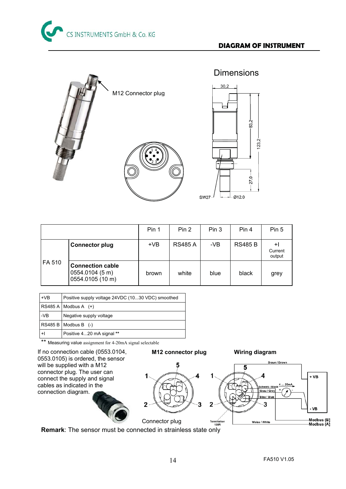123,2



|        |                                                                | Pin 1 | Pin 2          | Pin 3 | Pin 4          | Pin 5                   |
|--------|----------------------------------------------------------------|-------|----------------|-------|----------------|-------------------------|
|        | <b>Connector plug</b>                                          | $+VB$ | <b>RS485 A</b> | $-VB$ | <b>RS485 B</b> | +I<br>Current<br>output |
| FA 510 | <b>Connection cable</b><br>0554.0104 (5 m)<br>0554.0105 (10 m) | brown | white          | blue  | black          | grey                    |

| $+VB$ | Positive supply voltage 24VDC (1030 VDC) smoothed |
|-------|---------------------------------------------------|
|       | $RS485 A$ Modbus A $(+)$                          |
| -VB   | Negative supply voltage                           |
|       | $RS485 B   Modbus B$ (-)                          |
| +I    | Positive 420 mA signal **                         |

\*\* Measuring value assignment for 4-20mA signal selectable



**Remark**: The sensor must be connected in strainless state only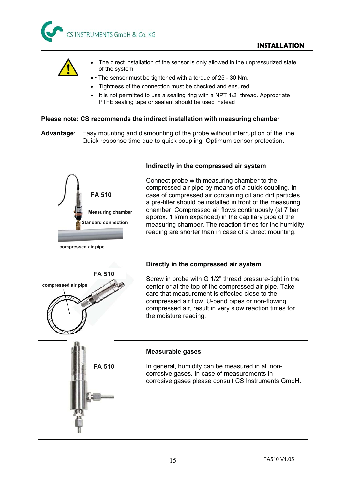



- The direct installation of the sensor is only allowed in the unpressurized state of the system
- • The sensor must be tightened with a torque of 25 30 Nm.
- Tightness of the connection must be checked and ensured.
- It is not permitted to use a sealing ring with a NPT 1/2" thread. Appropriate PTFE sealing tape or sealant should be used instead

#### **Please note: CS recommends the indirect installation with measuring chamber**

**Advantage**: Easy mounting and dismounting of the probe without interruption of the line. Quick response time due to quick coupling. Optimum sensor protection.

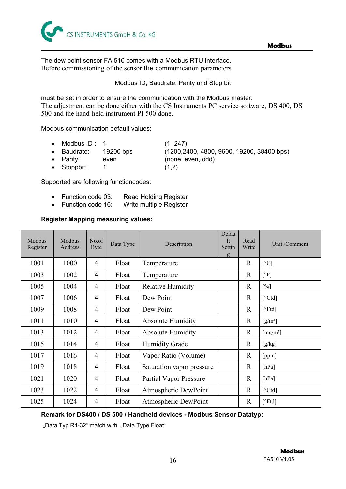

The dew point sensor FA 510 comes with a Modbus RTU Interface. Before commissioning of the sensor the communication parameters

Modbus ID, Baudrate, Parity und Stop bit

must be set in order to ensure the communication with the Modbus master. The adjustment can be done either with the CS Instruments PC service software, DS 400, DS 500 and the hand-held instrument PI 500 done.

Modbus communication default values:

- Modbus ID :  $1$  (1 -247) x Baudrate: 19200 bps (1200,2400, 4800, 9600, 19200, 38400 bps)
- Parity: even (none, even, odd)
- Stoppbit:  $1$  (1,2)

Supported are following functioncodes:

- Function code 03: Read Holding Register
- Function code 16: Write multiple Register

#### **Register Mapping measuring values:**

| Modbus<br>Register | Modbus<br>Address | No.of<br><b>Byte</b> | Data Type | Description                   | Defau<br><sup>1</sup> t<br>Settin<br>g | Read<br>Write | Unit /Comment            |
|--------------------|-------------------|----------------------|-----------|-------------------------------|----------------------------------------|---------------|--------------------------|
| 1001               | 1000              | $\overline{4}$       | Float     | Temperature                   |                                        | $\mathbb{R}$  | $\lceil$ <sup>o</sup> C] |
| 1003               | 1002              | $\overline{4}$       | Float     | Temperature                   |                                        | R             | $\lceil$ <sup>o</sup> F] |
| 1005               | 1004              | $\overline{4}$       | Float     | <b>Relative Humidity</b>      |                                        | $\mathbb{R}$  | [%]                      |
| 1007               | 1006              | $\overline{4}$       | Float     | Dew Point                     |                                        | $\mathbf{R}$  | [°Ctd]                   |
| 1009               | 1008              | $\overline{4}$       | Float     | Dew Point                     |                                        | $\mathbb{R}$  | [°Ftd]                   |
| 1011               | 1010              | $\overline{4}$       | Float     | <b>Absolute Humidity</b>      |                                        | $\mathbb{R}$  | $[g/m^3]$                |
| 1013               | 1012              | 4                    | Float     | <b>Absolute Humidity</b>      |                                        | $\mathbb{R}$  | [mg/m <sup>3</sup> ]     |
| 1015               | 1014              | $\overline{4}$       | Float     | <b>Humidity Grade</b>         |                                        | $\mathbb{R}$  | [g/kg]                   |
| 1017               | 1016              | 4                    | Float     | Vapor Ratio (Volume)          |                                        | R             | [ppm]                    |
| 1019               | 1018              | $\overline{4}$       | Float     | Saturation vapor pressure     |                                        | $\mathbb{R}$  | [hPa]                    |
| 1021               | 1020              | $\overline{4}$       | Float     | <b>Partial Vapor Pressure</b> |                                        | $\mathbb{R}$  | [hPa]                    |
| 1023               | 1022              | $\overline{4}$       | Float     | Atmospheric DewPoint          |                                        | $\mathbb{R}$  | [°Ctd]                   |
| 1025               | 1024              | 4                    | Float     | Atmospheric DewPoint          |                                        | $\mathbf R$   | [°Ftd]                   |

#### **Remark for DS400 / DS 500 / Handheld devices - Modbus Sensor Datatyp:**

"Data Typ R4-32" match with "Data Type Float"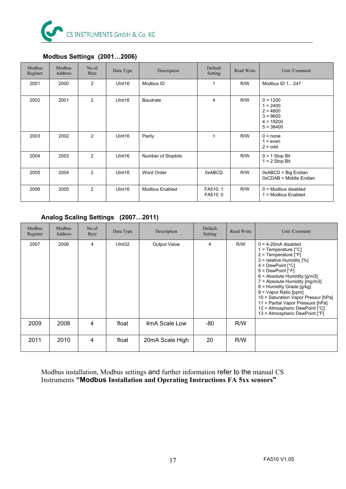

| Modbus<br>Register | Modbus<br>Address | No.of<br>Byte  | Data Type          | Description        | Default<br>Setting  | Read Write | Unit /Comment                                                                      |
|--------------------|-------------------|----------------|--------------------|--------------------|---------------------|------------|------------------------------------------------------------------------------------|
| 2001               | 2000              | 2              | UInt16             | Modbus ID          | $\mathbf{1}$        | R/W        | Modbus ID 1247                                                                     |
| 2002               | 2001              | $\overline{2}$ | Ulnt <sub>16</sub> | <b>Baudrate</b>    | 4                   | R/W        | $0 = 1200$<br>$1 = 2400$<br>$2 = 4800$<br>$3 = 9600$<br>$4 = 19200$<br>$5 = 38400$ |
| 2003               | 2002              | 2              | Ulnt <sub>16</sub> | Parity             | 1                   | R/W        | $0 = none$<br>$1 = even$<br>$2 =$ odd                                              |
| 2004               | 2003              | 2              | UInt16             | Number of Stopbits |                     | R/W        | $0 = 1$ Stop Bit<br>$1 = 2$ Stop Bit                                               |
| 2005               | 2004              | 2              | UInt16             | Word Order         | 0xABCD              | R/W        | $0xABCD = Big Endian$<br>0xCDAB = Middle Endian                                    |
| 2006               | 2005              | 2              | Ulnt <sub>16</sub> | Modbus Enabled     | FA510:1<br>FA515: 0 | R/W        | $0 =$ Modbus disabled<br>1 = Modbus Enabled                                        |

#### **Modbus Settings (2001…2006)**

#### **Analog Scaling Settings (2007…2011)**

| Modbus<br>Register | Modbus<br>Address | No.of<br>Byte | Data Type | Description         | Default<br>Setting | Read Write | Unit /Comment                                                                                                                                                                                                                                                                                                                                                                                                                                                           |
|--------------------|-------------------|---------------|-----------|---------------------|--------------------|------------|-------------------------------------------------------------------------------------------------------------------------------------------------------------------------------------------------------------------------------------------------------------------------------------------------------------------------------------------------------------------------------------------------------------------------------------------------------------------------|
| 2007               | 2006              | 4             | UInt32    | <b>Output Value</b> | $\overline{4}$     | R/W        | $0 = 4-20$ mA disabled<br>1 = Temperature $[^{\circ}C]$<br>2 = Temperature $[°F]$<br>3 = relative Humidity [%]<br>$4 = DewPoint [°C]$<br>$5 = DewPoint [°F]$<br>$6 =$ Absolute Humidity $\left[\frac{q}{m3}\right]$<br>7 = Absolute Humidity [mg/m3]<br>8 = Humidity Grade [g/kg]<br>$9 =$ Vapor Ratio [ppm]<br>10 = Saturation Vapor Pressur [hPa]<br>11 = Partial Vapor Pressure [hPa]<br>12 = Atmospheric DewPoint $[^{\circ}C]$<br>13 = Atmospheric DewPoint $[°F]$ |
| 2009               | 2008              | 4             | float     | 4mA Scale Low       | -80                | R/W        |                                                                                                                                                                                                                                                                                                                                                                                                                                                                         |
| 2011               | 2010              | 4             | float     | 20mA Scale High     | 20                 | R/W        |                                                                                                                                                                                                                                                                                                                                                                                                                                                                         |

Modbus installation, Modbus settings and further information refer to the manual CS Instruments **"Modbus Installation and Operating Instructions FA 5xx sensors"**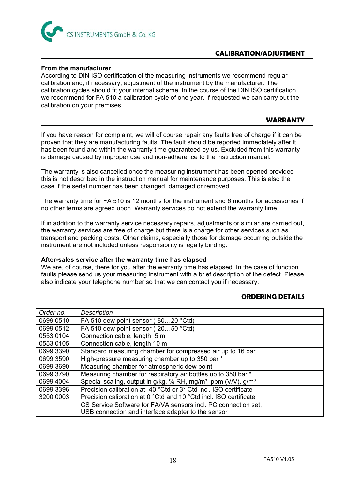

#### **CALIBRATION/ADJUSTMENT**

#### **From the manufacturer**

According to DIN ISO certification of the measuring instruments we recommend regular calibration and, if necessary, adjustment of the instrument by the manufacturer. The calibration cycles should fit your internal scheme. In the course of the DIN ISO certification, we recommend for FA 510 a calibration cycle of one year. If requested we can carry out the calibration on your premises.

#### **WARRANTY**

If you have reason for complaint, we will of course repair any faults free of charge if it can be proven that they are manufacturing faults. The fault should be reported immediately after it has been found and within the warranty time guaranteed by us. Excluded from this warranty is damage caused by improper use and non-adherence to the instruction manual.

The warranty is also cancelled once the measuring instrument has been opened provided this is not described in the instruction manual for maintenance purposes. This is also the case if the serial number has been changed, damaged or removed.

The warranty time for FA 510 is 12 months for the instrument and 6 months for accessories if no other terms are agreed upon. Warranty services do not extend the warranty time.

If in addition to the warranty service necessary repairs, adjustments or similar are carried out, the warranty services are free of charge but there is a charge for other services such as transport and packing costs. Other claims, especially those for damage occurring outside the instrument are not included unless responsibility is legally binding.

#### **After-sales service after the warranty time has elapsed**

We are, of course, there for you after the warranty time has elapsed. In the case of function faults please send us your measuring instrument with a brief description of the defect. Please also indicate your telephone number so that we can contact you if necessary.

#### **ORDERING DETAILS**

| Order no. | <b>Description</b>                                                                     |  |  |  |
|-----------|----------------------------------------------------------------------------------------|--|--|--|
| 0699.0510 | FA 510 dew point sensor (-8020 °Ctd)                                                   |  |  |  |
| 0699.0512 | FA 510 dew point sensor (-2050 °Ctd)                                                   |  |  |  |
| 0553.0104 | Connection cable, length: 5 m                                                          |  |  |  |
| 0553.0105 | Connection cable, length:10 m                                                          |  |  |  |
| 0699.3390 | Standard measuring chamber for compressed air up to 16 bar                             |  |  |  |
| 0699.3590 | High-pressure measuring chamber up to 350 bar *                                        |  |  |  |
| 0699.3690 | Measuring chamber for atmospheric dew point                                            |  |  |  |
| 0699.3790 | Measuring chamber for respiratory air bottles up to 350 bar *                          |  |  |  |
| 0699.4004 | Special scaling, output in g/kg, % RH, mg/m <sup>3</sup> , ppm (V/V), g/m <sup>3</sup> |  |  |  |
| 0699.3396 | Precision calibration at -40 °Ctd or 3° Ctd incl. ISO certificate                      |  |  |  |
| 3200.0003 | Precision calibration at 0 °Ctd and 10 °Ctd incl. ISO certificate                      |  |  |  |
|           | CS Service Software for FA/VA sensors incl. PC connection set,                         |  |  |  |
|           | USB connection and interface adapter to the sensor                                     |  |  |  |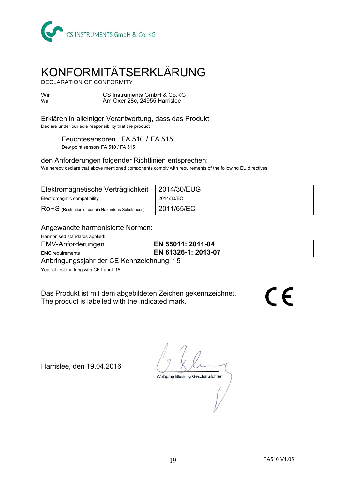

## KONFORMITÄTSERKLÄRUNG

DECLARATION OF CONFORMITY

Wir CS Instruments GmbH & Co.KG<br>We Am Oxer 28c. 24955 Harrislee Am Oxer 28c, 24955 Harrislee

Erklären in alleiniger Verantwortung, dass das Produkt Declare under our sole responsibility that the product

Feuchtesensoren FA 510 / FA 515

Dew point sensors FA 510 / FA 515

#### den Anforderungen folgender Richtlinien entsprechen:

We hereby declare that above mentioned components comply with requirements of the following EU directives:

| Elektromagnetische Verträglichkeit                                          | 2014/30/EUG |
|-----------------------------------------------------------------------------|-------------|
| Electromagntic compatibility                                                | 2014/30/EC  |
| $\mathsf{\mid} \mathsf{RoHS}$ (Restriction of certain Hazardous Substances) | 2011/65/EC  |

#### Angewandte harmonisierte Normen:

Harmonised standards applied:

| EMV-Anforderungen       | EN 55011: 2011-04   |
|-------------------------|---------------------|
| <b>EMC</b> requirements | EN 61326-1: 2013-07 |

Anbringungssjahr der CE Kennzeichnung: 15

Year of first marking with CE Label: 15

Das Produkt ist mit dem abgebildeten Zeichen gekennzeichnet. The product is labelled with the indicated mark.

 $\epsilon$ 

Harrislee, den 19.04.2016

Wolfgang Blessing Geschäftsführer